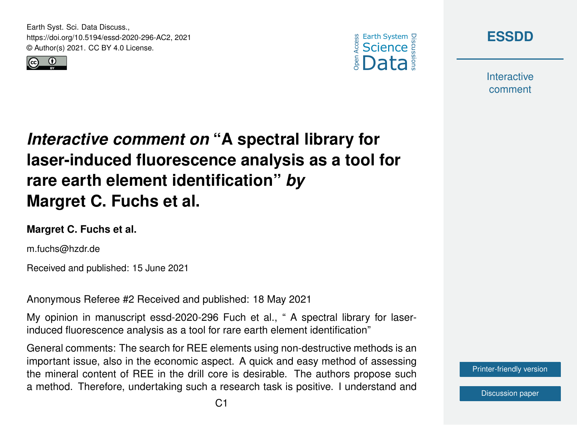Earth Syst. Sci. Data Discuss., https://doi.org/10.5194/essd-2020-296-AC2, 2021 © Author(s) 2021. CC BY 4.0 License.







**Interactive** comment

# *Interactive comment on* **"A spectral library for laser-induced fluorescence analysis as a tool for rare earth element identification"** *by* **Margret C. Fuchs et al.**

### **Margret C. Fuchs et al.**

m.fuchs@hzdr.de

Received and published: 15 June 2021

Anonymous Referee #2 Received and published: 18 May 2021

My opinion in manuscript essd-2020-296 Fuch et al., " A spectral library for laserinduced fluorescence analysis as a tool for rare earth element identification"

General comments: The search for REE elements using non-destructive methods is an important issue, also in the economic aspect. A quick and easy method of assessing the mineral content of REE in the drill core is desirable. The authors propose such a method. Therefore, undertaking such a research task is positive. I understand and

[Printer-friendly version](https://essd.copernicus.org/preprints/essd-2020-296/essd-2020-296-AC2-print.pdf)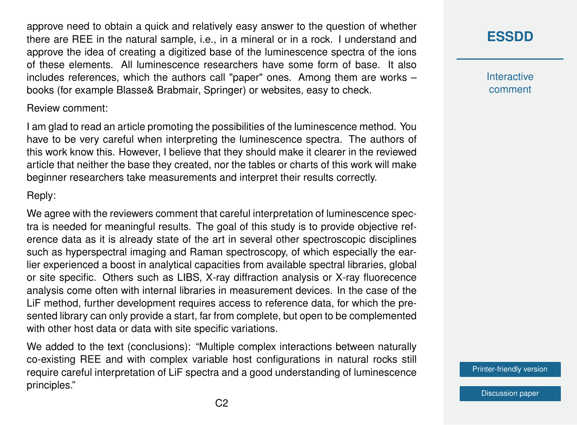approve need to obtain a quick and relatively easy answer to the question of whether there are REE in the natural sample, i.e., in a mineral or in a rock. I understand and approve the idea of creating a digitized base of the luminescence spectra of the ions of these elements. All luminescence researchers have some form of base. It also includes references, which the authors call "paper" ones. Among them are works – books (for example Blasse& Brabmair, Springer) or websites, easy to check.

#### Review comment:

I am glad to read an article promoting the possibilities of the luminescence method. You have to be very careful when interpreting the luminescence spectra. The authors of this work know this. However, I believe that they should make it clearer in the reviewed article that neither the base they created, nor the tables or charts of this work will make beginner researchers take measurements and interpret their results correctly.

### Reply:

We agree with the reviewers comment that careful interpretation of luminescence spectra is needed for meaningful results. The goal of this study is to provide objective reference data as it is already state of the art in several other spectroscopic disciplines such as hyperspectral imaging and Raman spectroscopy, of which especially the earlier experienced a boost in analytical capacities from available spectral libraries, global or site specific. Others such as LIBS, X-ray diffraction analysis or X-ray fluorecence analysis come often with internal libraries in measurement devices. In the case of the LiF method, further development requires access to reference data, for which the presented library can only provide a start, far from complete, but open to be complemented with other host data or data with site specific variations.

We added to the text (conclusions): "Multiple complex interactions between naturally co-existing REE and with complex variable host configurations in natural rocks still require careful interpretation of LiF spectra and a good understanding of luminescence principles."

### **[ESSDD](https://essd.copernicus.org/preprints/)**

**Interactive** comment

[Printer-friendly version](https://essd.copernicus.org/preprints/essd-2020-296/essd-2020-296-AC2-print.pdf)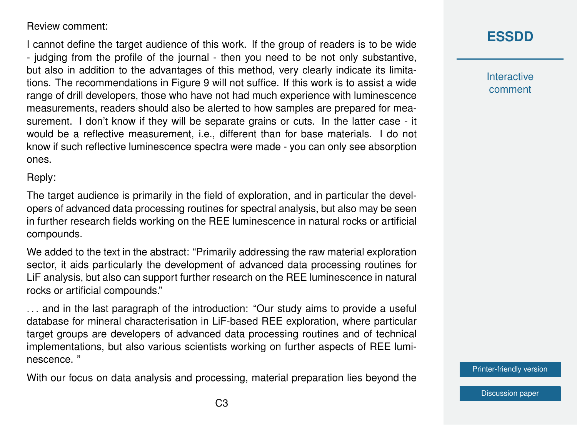### Review comment:

I cannot define the target audience of this work. If the group of readers is to be wide - judging from the profile of the journal - then you need to be not only substantive, but also in addition to the advantages of this method, very clearly indicate its limitations. The recommendations in Figure 9 will not suffice. If this work is to assist a wide range of drill developers, those who have not had much experience with luminescence measurements, readers should also be alerted to how samples are prepared for measurement. I don't know if they will be separate grains or cuts. In the latter case - it would be a reflective measurement, i.e., different than for base materials. I do not know if such reflective luminescence spectra were made - you can only see absorption ones.

Reply:

The target audience is primarily in the field of exploration, and in particular the developers of advanced data processing routines for spectral analysis, but also may be seen in further research fields working on the REE luminescence in natural rocks or artificial compounds.

We added to the text in the abstract: "Primarily addressing the raw material exploration sector, it aids particularly the development of advanced data processing routines for LiF analysis, but also can support further research on the REE luminescence in natural rocks or artificial compounds."

... and in the last paragraph of the introduction: "Our study aims to provide a useful database for mineral characterisation in LiF-based REE exploration, where particular target groups are developers of advanced data processing routines and of technical implementations, but also various scientists working on further aspects of REE luminescence. "

With our focus on data analysis and processing, material preparation lies beyond the

### **[ESSDD](https://essd.copernicus.org/preprints/)**

**Interactive** comment

[Printer-friendly version](https://essd.copernicus.org/preprints/essd-2020-296/essd-2020-296-AC2-print.pdf)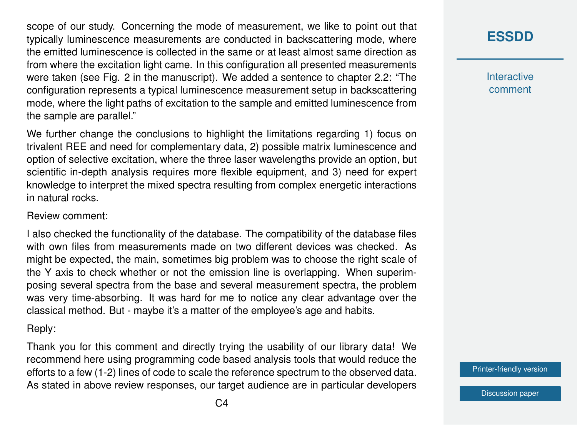scope of our study. Concerning the mode of measurement, we like to point out that typically luminescence measurements are conducted in backscattering mode, where the emitted luminescence is collected in the same or at least almost same direction as from where the excitation light came. In this configuration all presented measurements were taken (see Fig. 2 in the manuscript). We added a sentence to chapter 2.2: "The configuration represents a typical luminescence measurement setup in backscattering mode, where the light paths of excitation to the sample and emitted luminescence from the sample are parallel."

We further change the conclusions to highlight the limitations regarding 1) focus on trivalent REE and need for complementary data, 2) possible matrix luminescence and option of selective excitation, where the three laser wavelengths provide an option, but scientific in-depth analysis requires more flexible equipment, and 3) need for expert knowledge to interpret the mixed spectra resulting from complex energetic interactions in natural rocks.

#### Review comment:

I also checked the functionality of the database. The compatibility of the database files with own files from measurements made on two different devices was checked. As might be expected, the main, sometimes big problem was to choose the right scale of the Y axis to check whether or not the emission line is overlapping. When superimposing several spectra from the base and several measurement spectra, the problem was very time-absorbing. It was hard for me to notice any clear advantage over the classical method. But - maybe it's a matter of the employee's age and habits.

Reply:

Thank you for this comment and directly trying the usability of our library data! We recommend here using programming code based analysis tools that would reduce the efforts to a few (1-2) lines of code to scale the reference spectrum to the observed data. As stated in above review responses, our target audience are in particular developers

### **[ESSDD](https://essd.copernicus.org/preprints/)**

**Interactive** comment

[Printer-friendly version](https://essd.copernicus.org/preprints/essd-2020-296/essd-2020-296-AC2-print.pdf)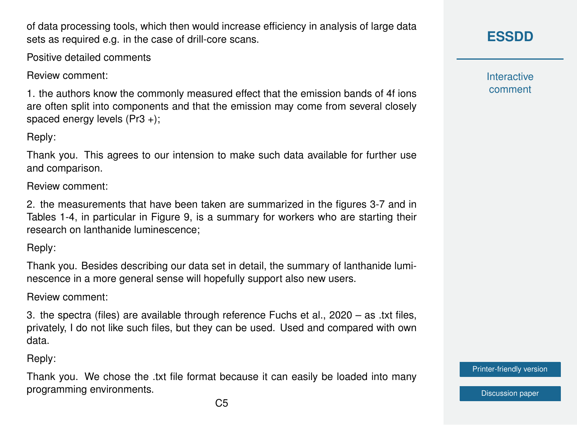of data processing tools, which then would increase efficiency in analysis of large data sets as required e.g. in the case of drill-core scans.

Positive detailed comments

Review comment:

1. the authors know the commonly measured effect that the emission bands of 4f ions are often split into components and that the emission may come from several closely spaced energy levels (Pr3 +);

Reply:

Thank you. This agrees to our intension to make such data available for further use and comparison.

Review comment:

2. the measurements that have been taken are summarized in the figures 3-7 and in Tables 1-4, in particular in Figure 9, is a summary for workers who are starting their research on lanthanide luminescence;

Reply:

Thank you. Besides describing our data set in detail, the summary of lanthanide luminescence in a more general sense will hopefully support also new users.

Review comment:

3. the spectra (files) are available through reference Fuchs et al., 2020 – as .txt files, privately, I do not like such files, but they can be used. Used and compared with own data.

Reply:

Thank you. We chose the .txt file format because it can easily be loaded into many programming environments.

**[ESSDD](https://essd.copernicus.org/preprints/)**

**Interactive** comment

[Printer-friendly version](https://essd.copernicus.org/preprints/essd-2020-296/essd-2020-296-AC2-print.pdf)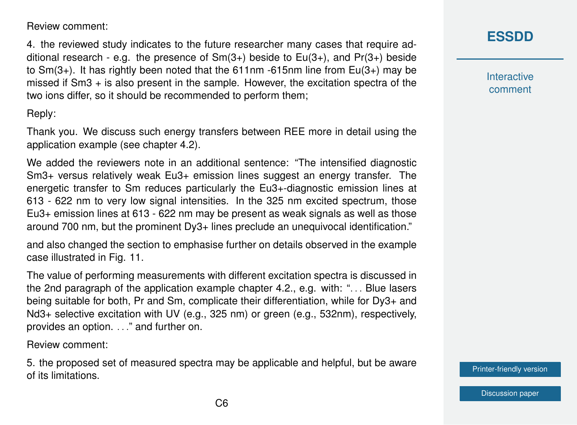Review comment:

4. the reviewed study indicates to the future researcher many cases that require additional research - e.g. the presence of  $Sm(3+)$  beside to  $Eu(3+)$ , and  $Pr(3+)$  beside to  $Sm(3+)$ . It has rightly been noted that the 611nm -615nm line from  $Eu(3+)$  may be missed if Sm3 + is also present in the sample. However, the excitation spectra of the two ions differ, so it should be recommended to perform them;

Reply:

Thank you. We discuss such energy transfers between REE more in detail using the application example (see chapter 4.2).

We added the reviewers note in an additional sentence: "The intensified diagnostic Sm3+ versus relatively weak Eu3+ emission lines suggest an energy transfer. The energetic transfer to Sm reduces particularly the Eu3+-diagnostic emission lines at 613 - 622 nm to very low signal intensities. In the 325 nm excited spectrum, those Eu3+ emission lines at 613 - 622 nm may be present as weak signals as well as those around 700 nm, but the prominent Dy3+ lines preclude an unequivocal identification."

and also changed the section to emphasise further on details observed in the example case illustrated in Fig. 11.

The value of performing measurements with different excitation spectra is discussed in the 2nd paragraph of the application example chapter 4.2., e.g. with: "... Blue lasers being suitable for both, Pr and Sm, complicate their differentiation, while for Dy3+ and Nd3+ selective excitation with UV (e.g., 325 nm) or green (e.g., 532nm), respectively, provides an option. . . ." and further on.

Review comment:

5. the proposed set of measured spectra may be applicable and helpful, but be aware of its limitations.

**[ESSDD](https://essd.copernicus.org/preprints/)**

**Interactive** comment

[Printer-friendly version](https://essd.copernicus.org/preprints/essd-2020-296/essd-2020-296-AC2-print.pdf)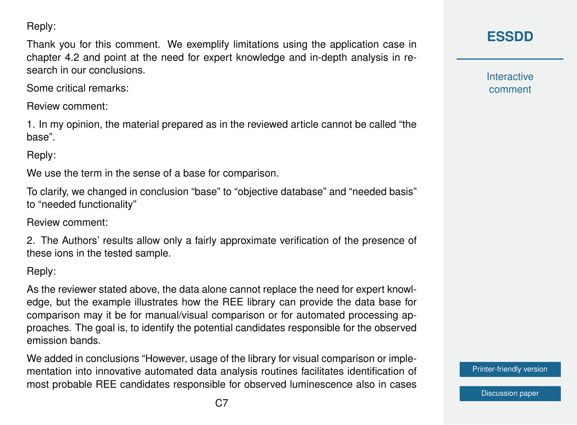Reply:

Thank you for this comment. We exemplify limitations using the application case in chapter 4.2 and point at the need for expert knowledge and in-depth analysis in research in our conclusions.

Some critical remarks:

Review comment:

1. In my opinion, the material prepared as in the reviewed article cannot be called "the base".

Reply:

We use the term in the sense of a base for comparison.

To clarify, we changed in conclusion "base" to "objective database" and "needed basis" to "needed functionality"

Review comment:

2. The Authors' results allow only a fairly approximate verification of the presence of these ions in the tested sample.

Reply:

As the reviewer stated above, the data alone cannot replace the need for expert knowledge, but the example illustrates how the REE library can provide the data base for comparison may it be for manual/visual comparison or for automated processing approaches. The goal is, to identify the potential candidates responsible for the observed emission bands.

We added in conclusions "However, usage of the library for visual comparison or implementation into innovative automated data analysis routines facilitates identification of most probable REE candidates responsible for observed luminescence also in cases **[ESSDD](https://essd.copernicus.org/preprints/)**

**Interactive** comment

[Printer-friendly version](https://essd.copernicus.org/preprints/essd-2020-296/essd-2020-296-AC2-print.pdf)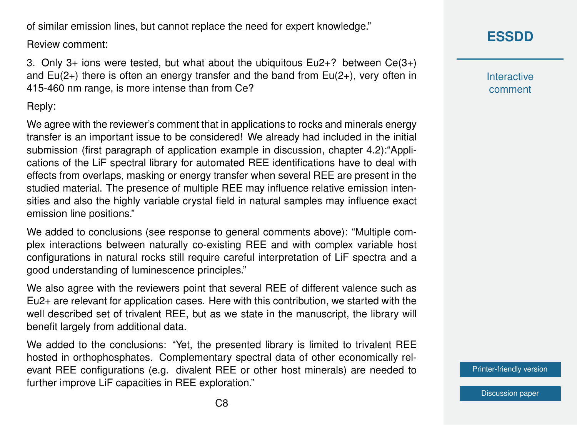of similar emission lines, but cannot replace the need for expert knowledge."

Review comment:

3. Only 3+ ions were tested, but what about the ubiquitous Eu2+? between Ce(3+) and  $Eu(2+)$  there is often an energy transfer and the band from  $Eu(2+)$ , very often in 415-460 nm range, is more intense than from Ce?

Reply:

We agree with the reviewer's comment that in applications to rocks and minerals energy transfer is an important issue to be considered! We already had included in the initial submission (first paragraph of application example in discussion, chapter 4.2):"Applications of the LiF spectral library for automated REE identifications have to deal with effects from overlaps, masking or energy transfer when several REE are present in the studied material. The presence of multiple REE may influence relative emission intensities and also the highly variable crystal field in natural samples may influence exact emission line positions."

We added to conclusions (see response to general comments above): "Multiple complex interactions between naturally co-existing REE and with complex variable host configurations in natural rocks still require careful interpretation of LiF spectra and a good understanding of luminescence principles."

We also agree with the reviewers point that several REE of different valence such as Eu2+ are relevant for application cases. Here with this contribution, we started with the well described set of trivalent REE, but as we state in the manuscript, the library will benefit largely from additional data.

We added to the conclusions: "Yet, the presented library is limited to trivalent REE hosted in orthophosphates. Complementary spectral data of other economically relevant REE configurations (e.g. divalent REE or other host minerals) are needed to further improve LiF capacities in REE exploration."

**[ESSDD](https://essd.copernicus.org/preprints/)**

**Interactive** comment

[Printer-friendly version](https://essd.copernicus.org/preprints/essd-2020-296/essd-2020-296-AC2-print.pdf)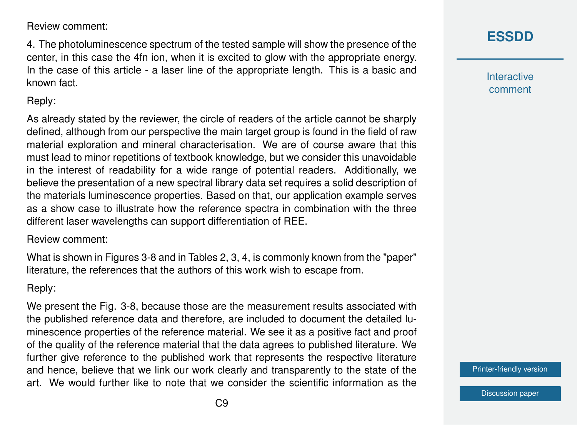Review comment:

4. The photoluminescence spectrum of the tested sample will show the presence of the center, in this case the 4fn ion, when it is excited to glow with the appropriate energy. In the case of this article - a laser line of the appropriate length. This is a basic and known fact.

### Reply:

As already stated by the reviewer, the circle of readers of the article cannot be sharply defined, although from our perspective the main target group is found in the field of raw material exploration and mineral characterisation. We are of course aware that this must lead to minor repetitions of textbook knowledge, but we consider this unavoidable in the interest of readability for a wide range of potential readers. Additionally, we believe the presentation of a new spectral library data set requires a solid description of the materials luminescence properties. Based on that, our application example serves as a show case to illustrate how the reference spectra in combination with the three different laser wavelengths can support differentiation of REE.

#### Review comment:

What is shown in Figures 3-8 and in Tables 2, 3, 4, is commonly known from the "paper" literature, the references that the authors of this work wish to escape from.

### Reply:

We present the Fig. 3-8, because those are the measurement results associated with the published reference data and therefore, are included to document the detailed luminescence properties of the reference material. We see it as a positive fact and proof of the quality of the reference material that the data agrees to published literature. We further give reference to the published work that represents the respective literature and hence, believe that we link our work clearly and transparently to the state of the art. We would further like to note that we consider the scientific information as the **Interactive** comment

[Printer-friendly version](https://essd.copernicus.org/preprints/essd-2020-296/essd-2020-296-AC2-print.pdf)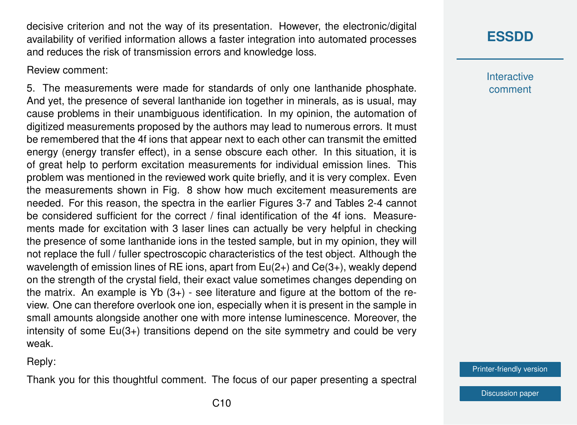decisive criterion and not the way of its presentation. However, the electronic/digital availability of verified information allows a faster integration into automated processes and reduces the risk of transmission errors and knowledge loss.

Review comment:

5. The measurements were made for standards of only one lanthanide phosphate. And yet, the presence of several lanthanide ion together in minerals, as is usual, may cause problems in their unambiguous identification. In my opinion, the automation of digitized measurements proposed by the authors may lead to numerous errors. It must be remembered that the 4f ions that appear next to each other can transmit the emitted energy (energy transfer effect), in a sense obscure each other. In this situation, it is of great help to perform excitation measurements for individual emission lines. This problem was mentioned in the reviewed work quite briefly, and it is very complex. Even the measurements shown in Fig. 8 show how much excitement measurements are needed. For this reason, the spectra in the earlier Figures 3-7 and Tables 2-4 cannot be considered sufficient for the correct / final identification of the 4f ions. Measurements made for excitation with 3 laser lines can actually be very helpful in checking the presence of some lanthanide ions in the tested sample, but in my opinion, they will not replace the full / fuller spectroscopic characteristics of the test object. Although the wavelength of emission lines of RE ions, apart from Eu(2+) and Ce(3+), weakly depend on the strength of the crystal field, their exact value sometimes changes depending on the matrix. An example is  $Yb(3+)$  - see literature and figure at the bottom of the review. One can therefore overlook one ion, especially when it is present in the sample in small amounts alongside another one with more intense luminescence. Moreover, the intensity of some Eu(3+) transitions depend on the site symmetry and could be very weak.

Reply:

Thank you for this thoughtful comment. The focus of our paper presenting a spectral

**Interactive** comment

[Printer-friendly version](https://essd.copernicus.org/preprints/essd-2020-296/essd-2020-296-AC2-print.pdf)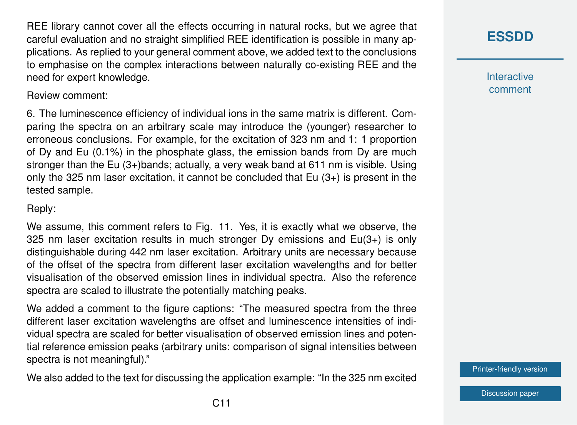REE library cannot cover all the effects occurring in natural rocks, but we agree that careful evaluation and no straight simplified REE identification is possible in many applications. As replied to your general comment above, we added text to the conclusions to emphasise on the complex interactions between naturally co-existing REE and the need for expert knowledge.

Review comment:

6. The luminescence efficiency of individual ions in the same matrix is different. Comparing the spectra on an arbitrary scale may introduce the (younger) researcher to erroneous conclusions. For example, for the excitation of 323 nm and 1: 1 proportion of Dy and Eu (0.1%) in the phosphate glass, the emission bands from Dy are much stronger than the Eu (3+)bands; actually, a very weak band at 611 nm is visible. Using only the 325 nm laser excitation, it cannot be concluded that  $Eu(3+)$  is present in the tested sample.

Reply:

We assume, this comment refers to Fig. 11. Yes, it is exactly what we observe, the 325 nm laser excitation results in much stronger Dy emissions and Eu(3+) is only distinguishable during 442 nm laser excitation. Arbitrary units are necessary because of the offset of the spectra from different laser excitation wavelengths and for better visualisation of the observed emission lines in individual spectra. Also the reference spectra are scaled to illustrate the potentially matching peaks.

We added a comment to the figure captions: "The measured spectra from the three different laser excitation wavelengths are offset and luminescence intensities of individual spectra are scaled for better visualisation of observed emission lines and potential reference emission peaks (arbitrary units: comparison of signal intensities between spectra is not meaningful)."

We also added to the text for discussing the application example: "In the 325 nm excited

**[ESSDD](https://essd.copernicus.org/preprints/)**

**Interactive** comment

[Printer-friendly version](https://essd.copernicus.org/preprints/essd-2020-296/essd-2020-296-AC2-print.pdf)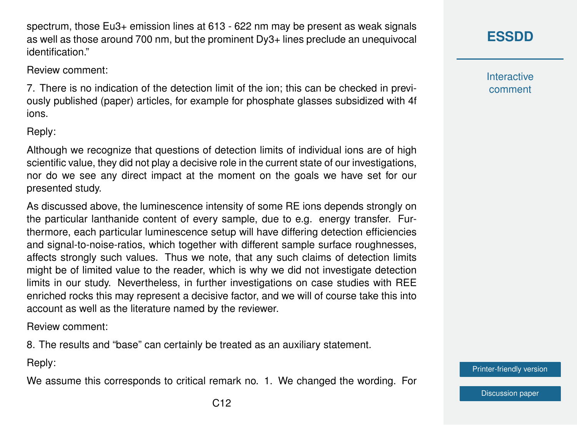spectrum, those Eu3+ emission lines at 613 - 622 nm may be present as weak signals as well as those around 700 nm, but the prominent Dy3+ lines preclude an unequivocal identification."

Review comment:

7. There is no indication of the detection limit of the ion; this can be checked in previously published (paper) articles, for example for phosphate glasses subsidized with 4f ions.

### Reply:

Although we recognize that questions of detection limits of individual ions are of high scientific value, they did not play a decisive role in the current state of our investigations, nor do we see any direct impact at the moment on the goals we have set for our presented study.

As discussed above, the luminescence intensity of some RE ions depends strongly on the particular lanthanide content of every sample, due to e.g. energy transfer. Furthermore, each particular luminescence setup will have differing detection efficiencies and signal-to-noise-ratios, which together with different sample surface roughnesses, affects strongly such values. Thus we note, that any such claims of detection limits might be of limited value to the reader, which is why we did not investigate detection limits in our study. Nevertheless, in further investigations on case studies with REE enriched rocks this may represent a decisive factor, and we will of course take this into account as well as the literature named by the reviewer.

Review comment:

8. The results and "base" can certainly be treated as an auxiliary statement.

Reply:

We assume this corresponds to critical remark no. 1. We changed the wording. For

**Interactive** comment

[Printer-friendly version](https://essd.copernicus.org/preprints/essd-2020-296/essd-2020-296-AC2-print.pdf)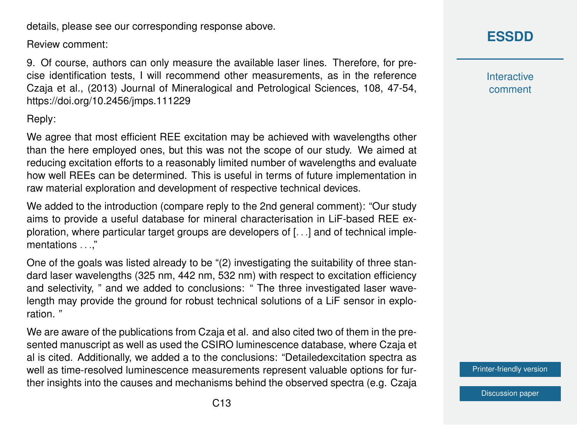details, please see our corresponding response above.

Review comment:

9. Of course, authors can only measure the available laser lines. Therefore, for precise identification tests, I will recommend other measurements, as in the reference Czaja et al., (2013) Journal of Mineralogical and Petrological Sciences, 108, 47-54, https://doi.org/10.2456/jmps.111229

Reply:

We agree that most efficient REE excitation may be achieved with wavelengths other than the here employed ones, but this was not the scope of our study. We aimed at reducing excitation efforts to a reasonably limited number of wavelengths and evaluate how well REEs can be determined. This is useful in terms of future implementation in raw material exploration and development of respective technical devices.

We added to the introduction (compare reply to the 2nd general comment): "Our study aims to provide a useful database for mineral characterisation in LiF-based REE exploration, where particular target groups are developers of [. . .] and of technical implementations . . ."

One of the goals was listed already to be "(2) investigating the suitability of three standard laser wavelengths (325 nm, 442 nm, 532 nm) with respect to excitation efficiency and selectivity, " and we added to conclusions: " The three investigated laser wavelength may provide the ground for robust technical solutions of a LiF sensor in exploration. "

We are aware of the publications from Czaja et al. and also cited two of them in the presented manuscript as well as used the CSIRO luminescence database, where Czaja et al is cited. Additionally, we added a to the conclusions: "Detailedexcitation spectra as well as time-resolved luminescence measurements represent valuable options for further insights into the causes and mechanisms behind the observed spectra (e.g. Czaja **Interactive** comment

[Printer-friendly version](https://essd.copernicus.org/preprints/essd-2020-296/essd-2020-296-AC2-print.pdf)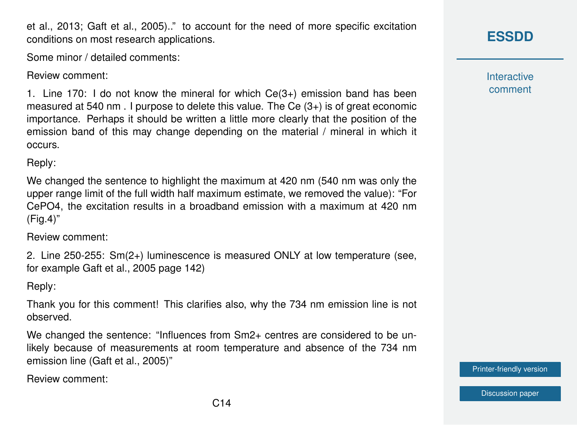et al., 2013; Gaft et al., 2005).." to account for the need of more specific excitation conditions on most research applications.

Some minor / detailed comments:

Review comment:

1. Line 170: I do not know the mineral for which Ce(3+) emission band has been measured at 540 nm . I purpose to delete this value. The Ce (3+) is of great economic importance. Perhaps it should be written a little more clearly that the position of the emission band of this may change depending on the material / mineral in which it occurs.

Reply:

We changed the sentence to highlight the maximum at 420 nm (540 nm was only the upper range limit of the full width half maximum estimate, we removed the value): "For CePO4, the excitation results in a broadband emission with a maximum at 420 nm (Fig.4)"

Review comment:

2. Line 250-255: Sm(2+) luminescence is measured ONLY at low temperature (see, for example Gaft et al., 2005 page 142)

Reply:

Thank you for this comment! This clarifies also, why the 734 nm emission line is not observed.

We changed the sentence: "Influences from Sm2+ centres are considered to be unlikely because of measurements at room temperature and absence of the 734 nm emission line (Gaft et al., 2005)"

Review comment:

## **[ESSDD](https://essd.copernicus.org/preprints/)**

**Interactive** comment

[Printer-friendly version](https://essd.copernicus.org/preprints/essd-2020-296/essd-2020-296-AC2-print.pdf)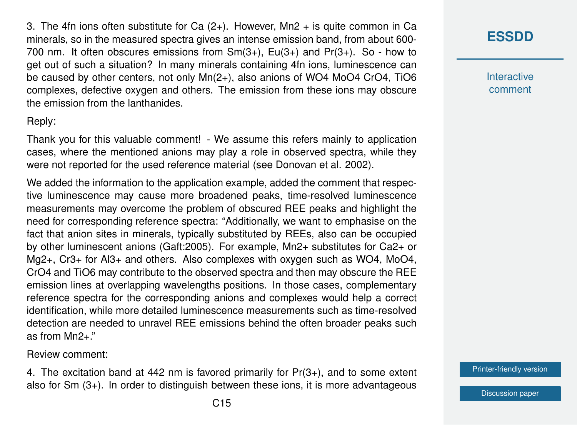3. The 4fn ions often substitute for Ca  $(2+)$ . However, Mn2  $+$  is quite common in Ca minerals, so in the measured spectra gives an intense emission band, from about 600- 700 nm. It often obscures emissions from Sm(3+), Eu(3+) and Pr(3+). So - how to get out of such a situation? In many minerals containing 4fn ions, luminescence can be caused by other centers, not only Mn(2+), also anions of WO4 MoO4 CrO4, TiO6 complexes, defective oxygen and others. The emission from these ions may obscure the emission from the lanthanides.

Reply:

Thank you for this valuable comment! - We assume this refers mainly to application cases, where the mentioned anions may play a role in observed spectra, while they were not reported for the used reference material (see Donovan et al. 2002).

We added the information to the application example, added the comment that respective luminescence may cause more broadened peaks, time-resolved luminescence measurements may overcome the problem of obscured REE peaks and highlight the need for corresponding reference spectra: "Additionally, we want to emphasise on the fact that anion sites in minerals, typically substituted by REEs, also can be occupied by other luminescent anions (Gaft:2005). For example, Mn2+ substitutes for Ca2+ or Mg2+, Cr3+ for Al3+ and others. Also complexes with oxygen such as WO4, MoO4, CrO4 and TiO6 may contribute to the observed spectra and then may obscure the REE emission lines at overlapping wavelengths positions. In those cases, complementary reference spectra for the corresponding anions and complexes would help a correct identification, while more detailed luminescence measurements such as time-resolved detection are needed to unravel REE emissions behind the often broader peaks such as from Mn2+."

Review comment:

4. The excitation band at 442 nm is favored primarily for  $Pr(3+)$ , and to some extent also for Sm (3+). In order to distinguish between these ions, it is more advantageous

**Interactive** comment

[Printer-friendly version](https://essd.copernicus.org/preprints/essd-2020-296/essd-2020-296-AC2-print.pdf)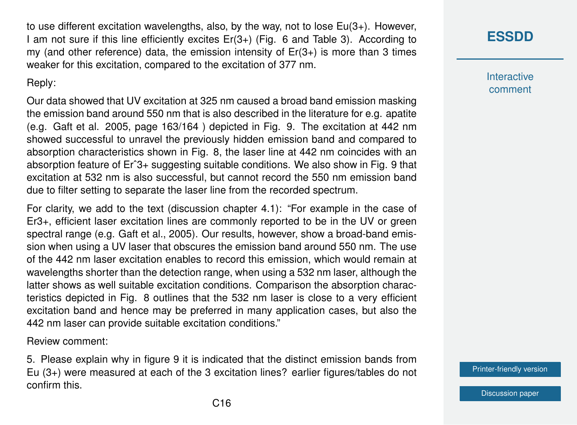to use different excitation wavelengths, also, by the way, not to lose Eu(3+). However, I am not sure if this line efficiently excites Er(3+) (Fig. 6 and Table 3). According to my (and other reference) data, the emission intensity of  $Er(3+)$  is more than 3 times weaker for this excitation, compared to the excitation of 377 nm.

### Reply:

Our data showed that UV excitation at 325 nm caused a broad band emission masking the emission band around 550 nm that is also described in the literature for e.g. apatite (e.g. Gaft et al. 2005, page 163/164 ) depicted in Fig. 9. The excitation at 442 nm showed successful to unravel the previously hidden emission band and compared to absorption characteristics shown in Fig. 8, the laser line at 442 nm coincides with an absorption feature of Erˆ3+ suggesting suitable conditions. We also show in Fig. 9 that excitation at 532 nm is also successful, but cannot record the 550 nm emission band due to filter setting to separate the laser line from the recorded spectrum.

For clarity, we add to the text (discussion chapter 4.1): "For example in the case of Er3+, efficient laser excitation lines are commonly reported to be in the UV or green spectral range (e.g. Gaft et al., 2005). Our results, however, show a broad-band emission when using a UV laser that obscures the emission band around 550 nm. The use of the 442 nm laser excitation enables to record this emission, which would remain at wavelengths shorter than the detection range, when using a 532 nm laser, although the latter shows as well suitable excitation conditions. Comparison the absorption characteristics depicted in Fig. 8 outlines that the 532 nm laser is close to a very efficient excitation band and hence may be preferred in many application cases, but also the 442 nm laser can provide suitable excitation conditions."

Review comment:

5. Please explain why in figure 9 it is indicated that the distinct emission bands from Eu (3+) were measured at each of the 3 excitation lines? earlier figures/tables do not confirm this.

**Interactive** comment

[Printer-friendly version](https://essd.copernicus.org/preprints/essd-2020-296/essd-2020-296-AC2-print.pdf)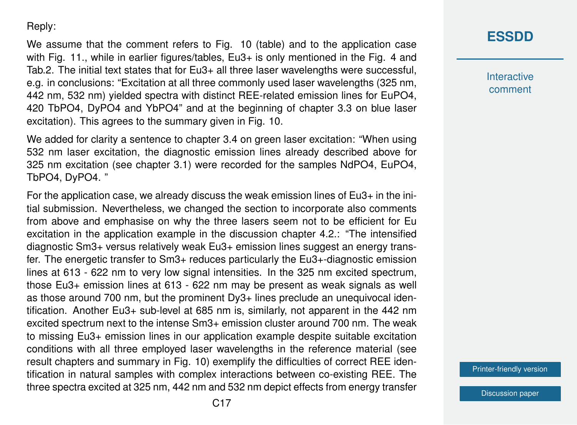Reply:

We assume that the comment refers to Fig. 10 (table) and to the application case with Fig. 11., while in earlier figures/tables, Eu3+ is only mentioned in the Fig. 4 and Tab.2. The initial text states that for Eu3+ all three laser wavelengths were successful, e.g. in conclusions: "Excitation at all three commonly used laser wavelengths (325 nm, 442 nm, 532 nm) yielded spectra with distinct REE-related emission lines for EuPO4, 420 TbPO4, DyPO4 and YbPO4" and at the beginning of chapter 3.3 on blue laser excitation). This agrees to the summary given in Fig. 10.

We added for clarity a sentence to chapter 3.4 on green laser excitation: "When using 532 nm laser excitation, the diagnostic emission lines already described above for 325 nm excitation (see chapter 3.1) were recorded for the samples NdPO4, EuPO4, TbPO4, DyPO4. "

For the application case, we already discuss the weak emission lines of Eu3+ in the initial submission. Nevertheless, we changed the section to incorporate also comments from above and emphasise on why the three lasers seem not to be efficient for Eu excitation in the application example in the discussion chapter 4.2.: "The intensified diagnostic Sm3+ versus relatively weak Eu3+ emission lines suggest an energy transfer. The energetic transfer to Sm3+ reduces particularly the Eu3+-diagnostic emission lines at 613 - 622 nm to very low signal intensities. In the 325 nm excited spectrum, those Eu3+ emission lines at 613 - 622 nm may be present as weak signals as well as those around 700 nm, but the prominent Dy3+ lines preclude an unequivocal identification. Another Eu3+ sub-level at 685 nm is, similarly, not apparent in the 442 nm excited spectrum next to the intense Sm3+ emission cluster around 700 nm. The weak to missing Eu3+ emission lines in our application example despite suitable excitation conditions with all three employed laser wavelengths in the reference material (see result chapters and summary in Fig. 10) exemplify the difficulties of correct REE identification in natural samples with complex interactions between co-existing REE. The three spectra excited at 325 nm, 442 nm and 532 nm depict effects from energy transfer

### **[ESSDD](https://essd.copernicus.org/preprints/)**

**Interactive** comment

[Printer-friendly version](https://essd.copernicus.org/preprints/essd-2020-296/essd-2020-296-AC2-print.pdf)